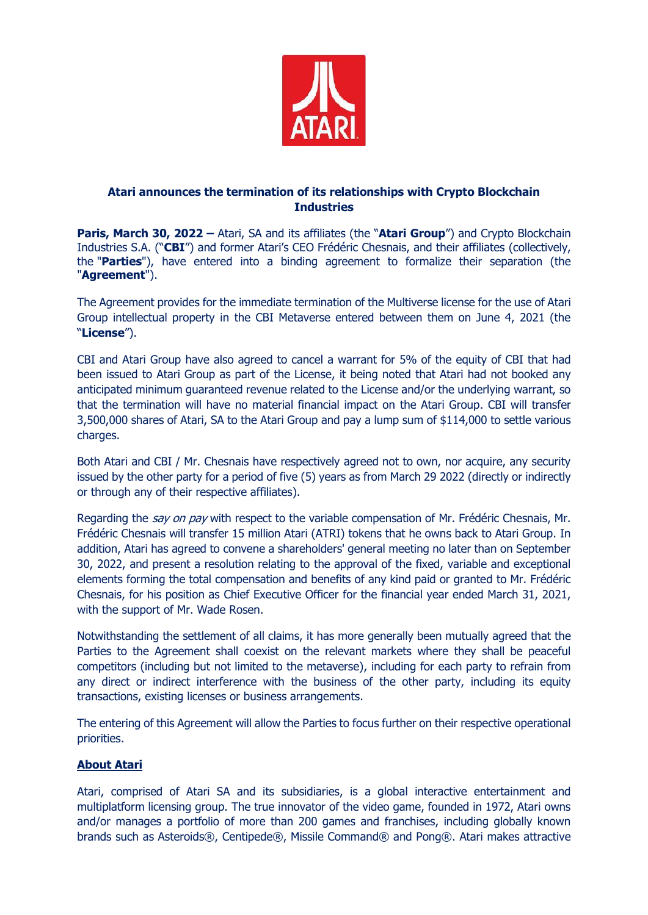

## **Atari announces the termination of its relationships with Crypto Blockchain Industries**

**Paris, March 30, 2022 –** Atari, SA and its affiliates (the "**Atari Group**") and Crypto Blockchain Industries S.A. ("**CBI**") and former Atari's CEO Frédéric Chesnais, and their affiliates (collectively, the "**Parties**"), have entered into a binding agreement to formalize their separation (the "**Agreement**").

The Agreement provides for the immediate termination of the Multiverse license for the use of Atari Group intellectual property in the CBI Metaverse entered between them on June 4, 2021 (the "**License**").

CBI and Atari Group have also agreed to cancel a warrant for 5% of the equity of CBI that had been issued to Atari Group as part of the License, it being noted that Atari had not booked any anticipated minimum guaranteed revenue related to the License and/or the underlying warrant, so that the termination will have no material financial impact on the Atari Group. CBI will transfer 3,500,000 shares of Atari, SA to the Atari Group and pay a lump sum of \$114,000 to settle various charges.

Both Atari and CBI / Mr. Chesnais have respectively agreed not to own, nor acquire, any security issued by the other party for a period of five (5) years as from March 29 2022 (directly or indirectly or through any of their respective affiliates).

Regarding the *say on pay* with respect to the variable compensation of Mr. Frédéric Chesnais, Mr. Frédéric Chesnais will transfer 15 million Atari (ATRI) tokens that he owns back to Atari Group. In addition, Atari has agreed to convene a shareholders' general meeting no later than on September 30, 2022, and present a resolution relating to the approval of the fixed, variable and exceptional elements forming the total compensation and benefits of any kind paid or granted to Mr. Frédéric Chesnais, for his position as Chief Executive Officer for the financial year ended March 31, 2021, with the support of Mr. Wade Rosen.

Notwithstanding the settlement of all claims, it has more generally been mutually agreed that the Parties to the Agreement shall coexist on the relevant markets where they shall be peaceful competitors (including but not limited to the metaverse), including for each party to refrain from any direct or indirect interference with the business of the other party, including its equity transactions, existing licenses or business arrangements.

The entering of this Agreement will allow the Parties to focus further on their respective operational priorities.

## **About Atari**

Atari, comprised of Atari SA and its subsidiaries, is a global interactive entertainment and multiplatform licensing group. The true innovator of the video game, founded in 1972, Atari owns and/or manages a portfolio of more than 200 games and franchises, including globally known brands such as Asteroids®, Centipede®, Missile Command® and Pong®. Atari makes attractive